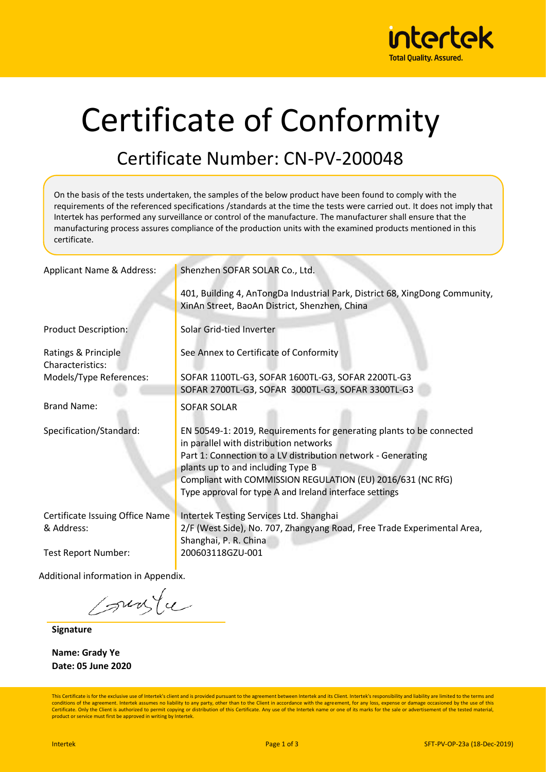

# Certificate of Conformity

### Certificate Number: CN-PV-200048

On the basis of the tests undertaken, the samples of the below product have been found to comply with the requirements of the referenced specifications /standards at the time the tests were carried out. It does not imply that Intertek has performed any surveillance or control of the manufacture. The manufacturer shall ensure that the manufacturing process assures compliance of the production units with the examined products mentioned in this certificate.

| Applicant Name & Address:               | Shenzhen SOFAR SOLAR Co., Ltd.                                                                                                                                                 |  |  |  |  |
|-----------------------------------------|--------------------------------------------------------------------------------------------------------------------------------------------------------------------------------|--|--|--|--|
|                                         | 401, Building 4, AnTongDa Industrial Park, District 68, XingDong Community,<br>XinAn Street, BaoAn District, Shenzhen, China                                                   |  |  |  |  |
| <b>Product Description:</b>             | Solar Grid-tied Inverter                                                                                                                                                       |  |  |  |  |
| Ratings & Principle<br>Characteristics: | See Annex to Certificate of Conformity                                                                                                                                         |  |  |  |  |
| Models/Type References:                 | SOFAR 1100TL-G3, SOFAR 1600TL-G3, SOFAR 2200TL-G3                                                                                                                              |  |  |  |  |
|                                         | SOFAR 2700TL-G3, SOFAR 3000TL-G3, SOFAR 3300TL-G3                                                                                                                              |  |  |  |  |
| <b>Brand Name:</b>                      | <b>SOFAR SOLAR</b>                                                                                                                                                             |  |  |  |  |
| Specification/Standard:                 | EN 50549-1: 2019, Requirements for generating plants to be connected<br>in parallel with distribution networks<br>Part 1: Connection to a LV distribution network - Generating |  |  |  |  |
|                                         | plants up to and including Type B                                                                                                                                              |  |  |  |  |
|                                         | Compliant with COMMISSION REGULATION (EU) 2016/631 (NC RfG)                                                                                                                    |  |  |  |  |
|                                         | Type approval for type A and Ireland interface settings                                                                                                                        |  |  |  |  |
| Certificate Issuing Office Name         | Intertek Testing Services Ltd. Shanghai                                                                                                                                        |  |  |  |  |
| & Address:                              | 2/F (West Side), No. 707, Zhangyang Road, Free Trade Experimental Area,<br>Shanghai, P. R. China                                                                               |  |  |  |  |
| <b>Test Report Number:</b>              | 200603118GZU-001                                                                                                                                                               |  |  |  |  |
| Additional information in Appendix.     |                                                                                                                                                                                |  |  |  |  |

sunte

**Signature**

**Name: Grady Ye Date: 05 June 2020**

This Certificate is for the exclusive use of Intertek's client and is provided pursuant to the agreement between Intertek and its Client. Intertek's responsibility and liability are limited to the terms and conditions of the agreement. Intertek assumes no liability to any party, other than to the Client in accordance with the agreement, for any loss, expense or damage occasioned by the use of this Certificate. Only the Client is authorized to permit copying or distribution of this Certificate. Any use of the Intertek name or one of its marks for the sale or advertisement of the tested material, product or service must first be approved in writing by Intertek.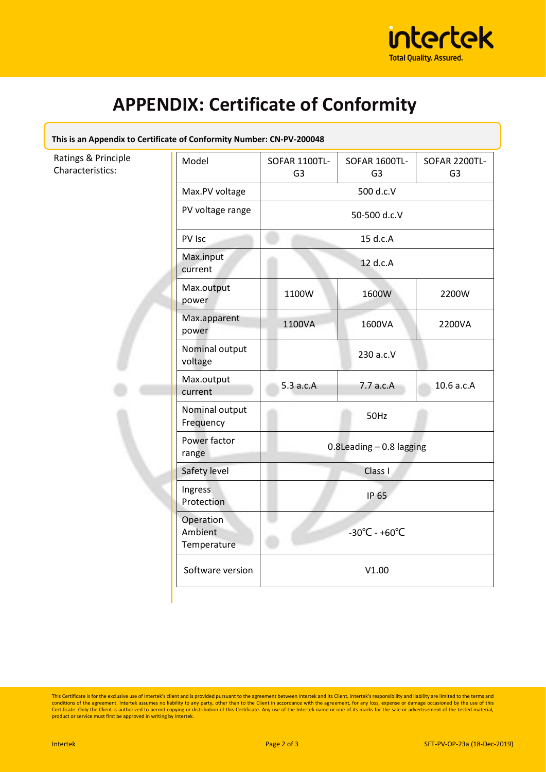

# **APPENDIX: Certificate of Conformity**

#### **This is an Appendix to Certificate of Conformity Number: CN-PV-200048**

| Ratings & Principle<br>Characteristics: | Model                               | SOFAR 1100TL-<br>G <sub>3</sub>    | SOFAR 1600TL-<br>G <sub>3</sub> | SOFAR 2200TL-<br>G <sub>3</sub> |
|-----------------------------------------|-------------------------------------|------------------------------------|---------------------------------|---------------------------------|
|                                         | Max.PV voltage                      | 500 d.c.V                          |                                 |                                 |
|                                         | PV voltage range                    | 50-500 d.c.V                       |                                 |                                 |
|                                         | PV Isc                              | 15 d.c.A                           |                                 |                                 |
|                                         | Max.input<br>current                | 12 d.c.A                           |                                 |                                 |
|                                         | Max.output<br>power                 | 1100W                              | 1600W                           | 2200W                           |
|                                         | Max.apparent<br>power               | 1100VA                             | 1600VA                          | 2200VA                          |
|                                         | Nominal output<br>voltage           |                                    | 230 a.c.V                       |                                 |
|                                         | Max.output<br>current               | 5.3 a.c.A                          | 7.7 a.c.A                       | 10.6 a.c.A                      |
|                                         | Nominal output<br>Frequency         | 50Hz                               |                                 |                                 |
|                                         | Power factor<br>range               | $0.8$ Leading $-0.8$ lagging       |                                 |                                 |
|                                         | Safety level                        | Class I                            |                                 |                                 |
|                                         | Ingress<br>Protection               | IP 65                              |                                 |                                 |
|                                         | Operation<br>Ambient<br>Temperature | $-30^{\circ}$ C - +60 $^{\circ}$ C |                                 |                                 |
|                                         | Software version                    | V1.00                              |                                 |                                 |

This Certificate is for the exclusive use of Intertek's client and is provided pursuant to the agreement between Intertek and its Client. Intertek's responsibility and liability are limited to the terms and conditions of t